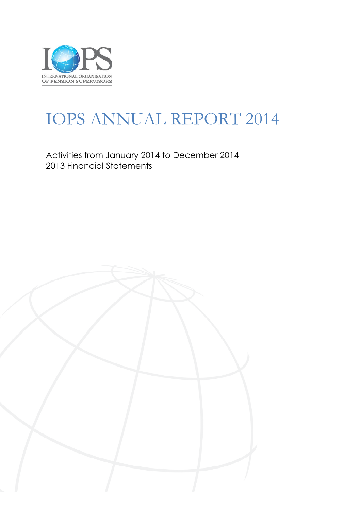

# IOPS ANNUAL REPORT 2014

Activities from January 2014 to December 2014 2013 Financial Statements

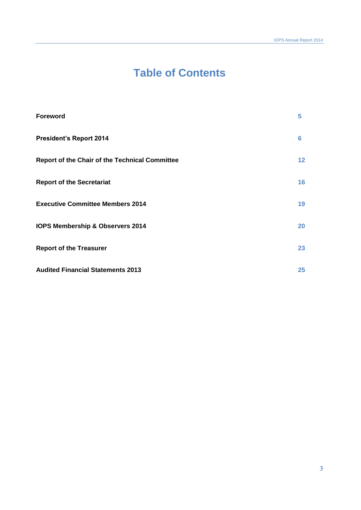# **Table of Contents**

| <b>Foreword</b>                                | 5               |
|------------------------------------------------|-----------------|
| <b>President's Report 2014</b>                 | 6               |
| Report of the Chair of the Technical Committee | $12 \ \mathrm{$ |
| <b>Report of the Secretariat</b>               | 16              |
| <b>Executive Committee Members 2014</b>        | 19              |
| IOPS Membership & Observers 2014               | 20              |
| <b>Report of the Treasurer</b>                 | 23              |
| <b>Audited Financial Statements 2013</b>       | 25              |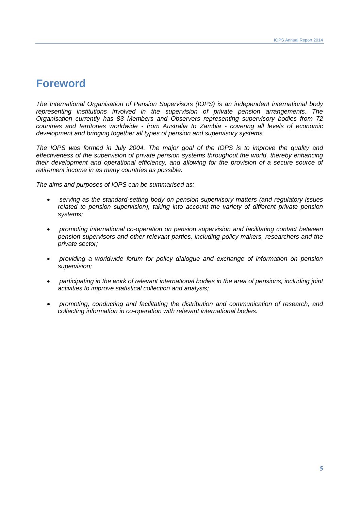# **Foreword**

*The International Organisation of Pension Supervisors (IOPS) is an independent international body representing institutions involved in the supervision of private pension arrangements. The Organisation currently has 83 Members and Observers representing supervisory bodies from 72 countries and territories worldwide - from Australia to Zambia - covering all levels of economic development and bringing together all types of pension and supervisory systems.* 

*The IOPS was formed in July 2004. The major goal of the IOPS is to improve the quality and effectiveness of the supervision of private pension systems throughout the world, thereby enhancing their development and operational efficiency, and allowing for the provision of a secure source of retirement income in as many countries as possible.*

*The aims and purposes of IOPS can be summarised as:*

- *serving as the standard-setting body on pension supervisory matters (and regulatory issues related to pension supervision), taking into account the variety of different private pension systems;*
- *promoting international co-operation on pension supervision and facilitating contact between pension supervisors and other relevant parties, including policy makers, researchers and the private sector;*
- *providing a worldwide forum for policy dialogue and exchange of information on pension supervision;*
- *participating in the work of relevant international bodies in the area of pensions, including joint activities to improve statistical collection and analysis;*
- *promoting, conducting and facilitating the distribution and communication of research, and collecting information in co-operation with relevant international bodies.*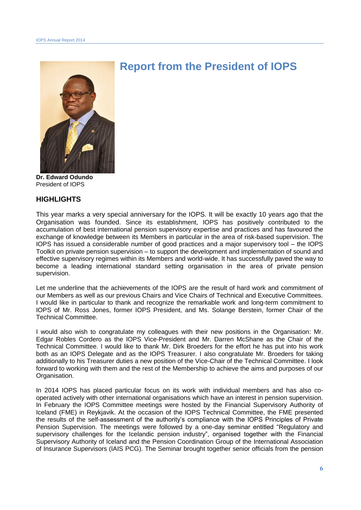

# **Report from the President of IOPS**

**Dr. Edward Odundo** President of IOPS

#### **HIGHLIGHTS**

This year marks a very special anniversary for the IOPS. It will be exactly 10 years ago that the Organisation was founded. Since its establishment, IOPS has positively contributed to the accumulation of best international pension supervisory expertise and practices and has favoured the exchange of knowledge between its Members in particular in the area of risk-based supervision. The IOPS has issued a considerable number of good practices and a major supervisory tool – the IOPS Toolkit on private pension supervision – to support the development and implementation of sound and effective supervisory regimes within its Members and world-wide. It has successfully paved the way to become a leading international standard setting organisation in the area of private pension supervision.

Let me underline that the achievements of the IOPS are the result of hard work and commitment of our Members as well as our previous Chairs and Vice Chairs of Technical and Executive Committees. I would like in particular to thank and recognize the remarkable work and long-term commitment to IOPS of Mr. Ross Jones, former IOPS President, and Ms. Solange Berstein, former Chair of the Technical Committee.

I would also wish to congratulate my colleagues with their new positions in the Organisation: Mr. Edgar Robles Cordero as the IOPS Vice-President and Mr. Darren McShane as the Chair of the Technical Committee. I would like to thank Mr. Dirk Broeders for the effort he has put into his work both as an IOPS Delegate and as the IOPS Treasurer. I also congratulate Mr. Broeders for taking additionally to his Treasurer duties a new position of the Vice-Chair of the Technical Committee. I look forward to working with them and the rest of the Membership to achieve the aims and purposes of our Organisation.

In 2014 IOPS has placed particular focus on its work with individual members and has also cooperated actively with other international organisations which have an interest in pension supervision. In February the IOPS Committee meetings were hosted by the Financial Supervisory Authority of Iceland (FME) in Reykjavik. At the occasion of the IOPS Technical Committee, the FME presented the results of the self-assessment of the authority's compliance with the IOPS Principles of Private Pension Supervision. The meetings were followed by a one-day seminar entitled "Regulatory and supervisory challenges for the Icelandic pension industry", organised together with the Financial Supervisory Authority of Iceland and the Pension Coordination Group of the International Association of Insurance Supervisors (IAIS PCG). The Seminar brought together senior officials from the pension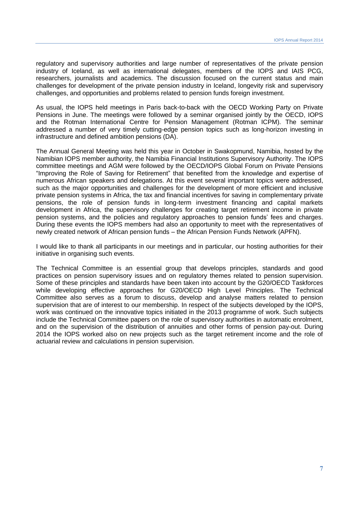regulatory and supervisory authorities and large number of representatives of the private pension industry of Iceland, as well as international delegates, members of the IOPS and IAIS PCG, researchers, journalists and academics. The discussion focused on the current status and main challenges for development of the private pension industry in Iceland, longevity risk and supervisory challenges, and opportunities and problems related to pension funds foreign investment.

As usual, the IOPS held meetings in Paris back-to-back with the OECD Working Party on Private Pensions in June. The meetings were followed by a seminar organised jointly by the OECD, IOPS and the Rotman International Centre for Pension Management (Rotman ICPM). The seminar addressed a number of very timely cutting-edge pension topics such as long-horizon investing in infrastructure and defined ambition pensions (DA).

The Annual General Meeting was held this year in October in Swakopmund, Namibia, hosted by the Namibian IOPS member authority, the Namibia Financial Institutions Supervisory Authority. The IOPS committee meetings and AGM were followed by the OECD/IOPS Global Forum on Private Pensions "Improving the Role of Saving for Retirement" that benefited from the knowledge and expertise of numerous African speakers and delegations. At this event several important topics were addressed, such as the major opportunities and challenges for the development of more efficient and inclusive private pension systems in Africa, the tax and financial incentives for saving in complementary private pensions, the role of pension funds in long-term investment financing and capital markets development in Africa, the supervisory challenges for creating target retirement income in private pension systems, and the policies and regulatory approaches to pension funds' fees and charges. During these events the IOPS members had also an opportunity to meet with the representatives of newly created network of African pension funds – the African Pension Funds Network (APFN).

I would like to thank all participants in our meetings and in particular, our hosting authorities for their initiative in organising such events.

The Technical Committee is an essential group that develops principles, standards and good practices on pension supervisory issues and on regulatory themes related to pension supervision. Some of these principles and standards have been taken into account by the G20/OECD Taskforces while developing effective approaches for G20/OECD High Level Principles. The Technical Committee also serves as a forum to discuss, develop and analyse matters related to pension supervision that are of interest to our membership. In respect of the subjects developed by the IOPS, work was continued on the innovative topics initiated in the 2013 programme of work. Such subjects include the Technical Committee papers on the role of supervisory authorities in automatic enrolment, and on the supervision of the distribution of annuities and other forms of pension pay-out. During 2014 the IOPS worked also on new projects such as the target retirement income and the role of actuarial review and calculations in pension supervision.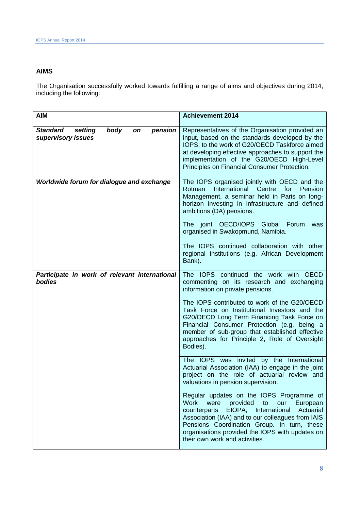#### **AIMS**

The Organisation successfully worked towards fulfilling a range of aims and objectives during 2014, including the following:

| <b>AIM</b>                                                                | <b>Achievement 2014</b>                                                                                                                                                                                                                                                                                                                         |
|---------------------------------------------------------------------------|-------------------------------------------------------------------------------------------------------------------------------------------------------------------------------------------------------------------------------------------------------------------------------------------------------------------------------------------------|
| body<br><b>Standard</b><br>setting<br>pension<br>on<br>supervisory issues | Representatives of the Organisation provided an<br>input, based on the standards developed by the<br>IOPS, to the work of G20/OECD Taskforce aimed<br>at developing effective approaches to support the<br>implementation of the G20/OECD High-Level<br>Principles on Financial Consumer Protection.                                            |
| Worldwide forum for dialogue and exchange                                 | The IOPS organised jointly with OECD and the<br>International Centre<br>for<br>Rotman<br>Pension<br>Management, a seminar held in Paris on long-<br>horizon investing in infrastructure and defined<br>ambitions (DA) pensions.                                                                                                                 |
|                                                                           | The joint OECD/IOPS Global Forum<br>was<br>organised in Swakopmund, Namibia.                                                                                                                                                                                                                                                                    |
|                                                                           | The IOPS continued collaboration with other<br>regional institutions (e.g. African Development<br>Bank).                                                                                                                                                                                                                                        |
| Participate in work of relevant international<br>bodies                   | The IOPS continued the work with OECD<br>commenting on its research and exchanging<br>information on private pensions.                                                                                                                                                                                                                          |
|                                                                           | The IOPS contributed to work of the G20/OECD<br>Task Force on Institutional Investors and the<br>G20/OECD Long Term Financing Task Force on<br>Financial Consumer Protection (e.g. being a<br>member of sub-group that established effective<br>approaches for Principle 2, Role of Oversight<br>Bodies).                                       |
|                                                                           | The IOPS was invited by the International<br>Actuarial Association (IAA) to engage in the joint<br>project on the role of actuarial review and<br>valuations in pension supervision.                                                                                                                                                            |
|                                                                           | Regular updates on the IOPS Programme of<br><b>Work</b><br>were provided<br>European<br>to<br>our<br>EIOPA, International<br>Actuarial<br>counterparts<br>Association (IAA) and to our colleagues from IAIS<br>Pensions Coordination Group. In turn, these<br>organisations provided the IOPS with updates on<br>their own work and activities. |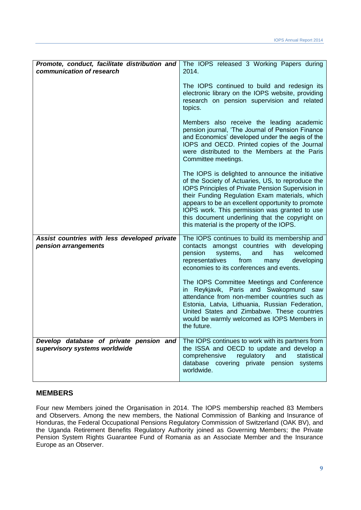| Promote, conduct, facilitate distribution and<br>communication of research | The IOPS released 3 Working Papers during<br>2014.                                                                                                                                                                                                                                                                                                                                                                  |
|----------------------------------------------------------------------------|---------------------------------------------------------------------------------------------------------------------------------------------------------------------------------------------------------------------------------------------------------------------------------------------------------------------------------------------------------------------------------------------------------------------|
|                                                                            | The IOPS continued to build and redesign its<br>electronic library on the IOPS website, providing<br>research on pension supervision and related<br>topics.                                                                                                                                                                                                                                                         |
|                                                                            | Members also receive the leading academic<br>pension journal, 'The Journal of Pension Finance<br>and Economics' developed under the aegis of the<br>IOPS and OECD. Printed copies of the Journal<br>were distributed to the Members at the Paris<br>Committee meetings.                                                                                                                                             |
|                                                                            | The IOPS is delighted to announce the initiative<br>of the Society of Actuaries, US, to reproduce the<br>IOPS Principles of Private Pension Supervision in<br>their Funding Regulation Exam materials, which<br>appears to be an excellent opportunity to promote<br>IOPS work. This permission was granted to use<br>this document underlining that the copyright on<br>this material is the property of the IOPS. |
| Assist countries with less developed private<br>pension arrangements       | The IOPS continues to build its membership and<br>contacts amongst countries with developing<br>pension<br>systems,<br>welcomed<br>and<br>has<br>representatives<br>from<br>developing<br>many<br>economies to its conferences and events.                                                                                                                                                                          |
|                                                                            | The IOPS Committee Meetings and Conference<br>in Reykjavik, Paris and Swakopmund saw<br>attendance from non-member countries such as<br>Estonia, Latvia, Lithuania, Russian Federation,<br>United States and Zimbabwe. These countries<br>would be warmly welcomed as IOPS Members in<br>the future.                                                                                                                |
| Develop database of private pension and<br>supervisory systems worldwide   | The IOPS continues to work with its partners from<br>the ISSA and OECD to update and develop a<br>statistical<br>comprehensive<br>regulatory<br>and<br>database covering private pension systems<br>worldwide.                                                                                                                                                                                                      |

#### **MEMBERS**

Four new Members joined the Organisation in 2014. The IOPS membership reached 83 Members and Observers. Among the new members, the National Commission of Banking and Insurance of Honduras, the Federal Occupational Pensions Regulatory Commission of Switzerland (OAK BV), and the Uganda Retirement Benefits Regulatory Authority joined as Governing Members; the Private Pension System Rights Guarantee Fund of Romania as an Associate Member and the Insurance Europe as an Observer.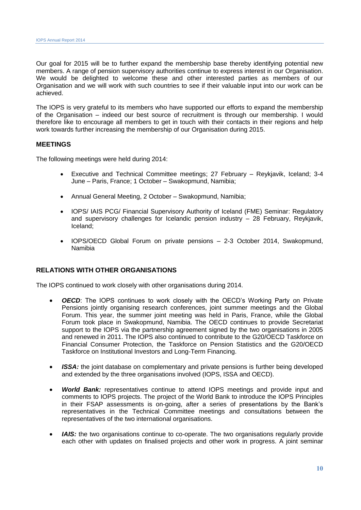Our goal for 2015 will be to further expand the membership base thereby identifying potential new members. A range of pension supervisory authorities continue to express interest in our Organisation. We would be delighted to welcome these and other interested parties as members of our Organisation and we will work with such countries to see if their valuable input into our work can be achieved.

The IOPS is very grateful to its members who have supported our efforts to expand the membership of the Organisation – indeed our best source of recruitment is through our membership. I would therefore like to encourage all members to get in touch with their contacts in their regions and help work towards further increasing the membership of our Organisation during 2015.

#### **MEETINGS**

The following meetings were held during 2014:

- Executive and Technical Committee meetings; 27 February Reykjavik, Iceland; 3-4 June – Paris, France; 1 October – Swakopmund, Namibia;
- Annual General Meeting, 2 October Swakopmund, Namibia;
- IOPS/ IAIS PCG/ Financial Supervisory Authority of Iceland (FME) Seminar: Regulatory and supervisory challenges for Icelandic pension industry – 28 February, Reykjavik, Iceland;
- IOPS/OECD Global Forum on private pensions 2-3 October 2014, Swakopmund, Namibia

#### **RELATIONS WITH OTHER ORGANISATIONS**

The IOPS continued to work closely with other organisations during 2014.

- *OECD*: The IOPS continues to work closely with the OECD's Working Party on Private Pensions jointly organising research conferences, joint summer meetings and the Global Forum. This year, the summer joint meeting was held in Paris, France, while the Global Forum took place in Swakopmund, Namibia. The OECD continues to provide Secretariat support to the IOPS via the partnership agreement signed by the two organisations in 2005 and renewed in 2011. The IOPS also continued to contribute to the G20/OECD Taskforce on Financial Consumer Protection, the Taskforce on Pension Statistics and the G20/OECD Taskforce on Institutional Investors and Long-Term Financing.
- *ISSA:* the joint database on complementary and private pensions is further being developed and extended by the three organisations involved (IOPS, ISSA and OECD).
- *World Bank:* representatives continue to attend IOPS meetings and provide input and comments to IOPS projects. The project of the World Bank to introduce the IOPS Principles in their FSAP assessments is on-going, after a series of presentations by the Bank's representatives in the Technical Committee meetings and consultations between the representatives of the two international organisations.
- *IAIS:* the two organisations continue to co-operate. The two organisations regularly provide each other with updates on finalised projects and other work in progress. A joint seminar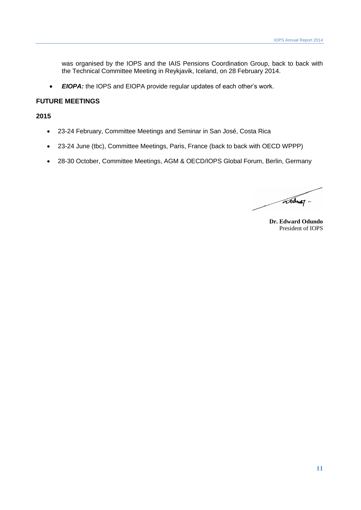was organised by the IOPS and the IAIS Pensions Coordination Group, back to back with the Technical Committee Meeting in Reykjavik, Iceland, on 28 February 2014.

*EIOPA:* the IOPS and EIOPA provide regular updates of each other's work.

#### **FUTURE MEETINGS**

**2015**

- 23-24 February, Committee Meetings and Seminar in San José, Costa Rica
- 23-24 June (tbc), Committee Meetings, Paris, France (back to back with OECD WPPP)
- 28-30 October, Committee Meetings, AGM & OECD/IOPS Global Forum, Berlin, Germany

addway.

**Dr. Edward Odundo** President of IOPS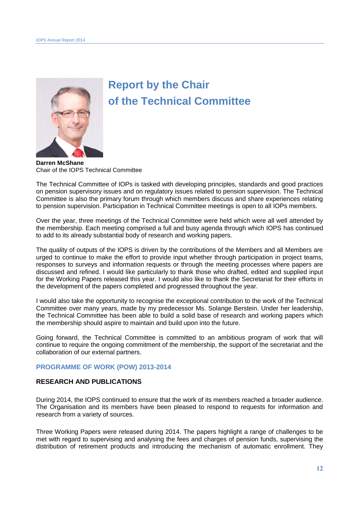

# **Report by the Chair of the Technical Committee**

**Darren McShane** Chair of the IOPS Technical Committee

The Technical Committee of IOPs is tasked with developing principles, standards and good practices on pension supervisory issues and on regulatory issues related to pension supervision. The Technical Committee is also the primary forum through which members discuss and share experiences relating to pension supervision. Participation in Technical Committee meetings is open to all IOPs members.

Over the year, three meetings of the Technical Committee were held which were all well attended by the membership. Each meeting comprised a full and busy agenda through which IOPS has continued to add to its already substantial body of research and working papers.

The quality of outputs of the IOPS is driven by the contributions of the Members and all Members are urged to continue to make the effort to provide input whether through participation in project teams, responses to surveys and information requests or through the meeting processes where papers are discussed and refined. I would like particularly to thank those who drafted, edited and supplied input for the Working Papers released this year. I would also like to thank the Secretariat for their efforts in the development of the papers completed and progressed throughout the year.

I would also take the opportunity to recognise the exceptional contribution to the work of the Technical Committee over many years, made by my predecessor Ms. Solange Berstein. Under her leadership, the Technical Committee has been able to build a solid base of research and working papers which the membership should aspire to maintain and build upon into the future.

Going forward, the Technical Committee is committed to an ambitious program of work that will continue to require the ongoing commitment of the membership, the support of the secretariat and the collaboration of our external partners.

#### **PROGRAMME OF WORK (POW) 2013-2014**

#### **RESEARCH AND PUBLICATIONS**

During 2014, the IOPS continued to ensure that the work of its members reached a broader audience. The Organisation and its members have been pleased to respond to requests for information and research from a variety of sources.

Three Working Papers were released during 2014. The papers highlight a range of challenges to be met with regard to supervising and analysing the fees and charges of pension funds, supervising the distribution of retirement products and introducing the mechanism of automatic enrollment. They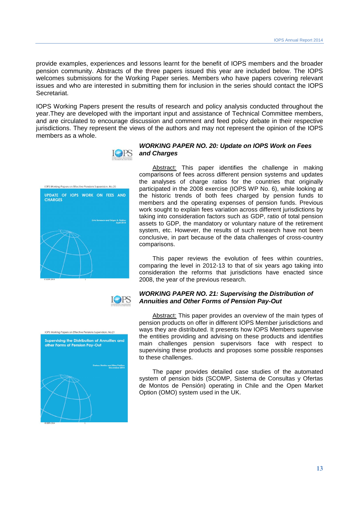provide examples, experiences and lessons learnt for the benefit of IOPS members and the broader pension community. Abstracts of the three papers issued this year are included below. The IOPS welcomes submissions for the Working Paper series. Members who have papers covering relevant issues and who are interested in submitting them for inclusion in the series should contact the IOPS Secretariat.

IOPS Working Papers present the results of research and policy analysis conducted throughout the year.They are developed with the important input and assistance of Technical Committee members, and are circulated to encourage discussion and comment and feed policy debate in their respective jurisdictions. They represent the views of the authors and may not represent the opinion of the IOPS members as a whole.



**ICPS** 

#### *WORKING PAPER NO. 20: Update on IOPS Work on Fees and Charges*

Abstract: This paper identifies the challenge in making comparisons of fees across different pension systems and updates the analyses of charge ratios for the countries that originally participated in the 2008 exercise (IOPS WP No. 6), while looking at the historic trends of both fees charged by pension funds to members and the operating expenses of pension funds. Previous work sought to explain fees variation across different jurisdictions by taking into consideration factors such as GDP, ratio of total pension assets to GDP, the mandatory or voluntary nature of the retirement system, etc. However, the results of such research have not been conclusive, in part because of the data challenges of cross-country comparisons.

This paper reviews the evolution of fees within countries, comparing the level in 2012-13 to that of six years ago taking into consideration the reforms that jurisdictions have enacted since 2008, the year of the previous research.

#### *WORKING PAPER NO. 21: Supervising the Distribution of Annuities and Other Forms of Pension Pay-Out*

Abstract: This paper provides an overview of the main types of pension products on offer in different IOPS Member jurisdictions and ways they are distributed. It presents how IOPS Members supervise the entities providing and advising on these products and identifies main challenges pension supervisors face with respect to supervising these products and proposes some possible responses to these challenges.

The paper provides detailed case studies of the automated system of pension bids (SCOMP, Sistema de Consultas y Ofertas de Montos de Pensión) operating in Chile and the Open Market Option (OMO) system used in the UK.



IOPS Working Papers on Effective Pensions Supervision, No.20 UPDATE OF IOPS WORK ON FEES AND

**CHARGES**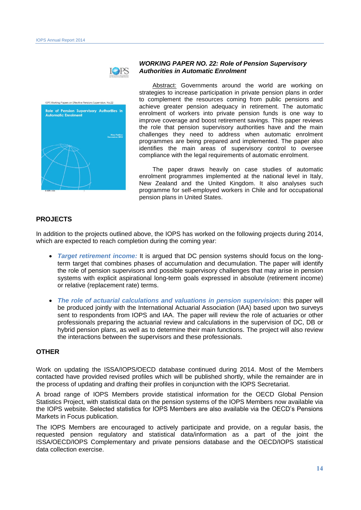

| <b>Automatic Enrolment</b> | Role of Pension Supervisory Authorities in |
|----------------------------|--------------------------------------------|
|                            | <b>Ning Pakling</b><br>December 2014       |
|                            |                                            |
|                            |                                            |

#### *WORKING PAPER NO. 22: Role of Pension Supervisory Authorities in Automatic Enrolment*

Abstract: Governments around the world are working on strategies to increase participation in private pension plans in order to complement the resources coming from public pensions and achieve greater pension adequacy in retirement. The automatic enrolment of workers into private pension funds is one way to improve coverage and boost retirement savings. This paper reviews the role that pension supervisory authorities have and the main challenges they need to address when automatic enrolment programmes are being prepared and implemented. The paper also identifies the main areas of supervisory control to oversee compliance with the legal requirements of automatic enrolment.

The paper draws heavily on case studies of automatic enrolment programmes implemented at the national level in Italy, New Zealand and the United Kingdom. It also analyses such programme for self-employed workers in Chile and for occupational pension plans in United States.

#### **PROJECTS**

In addition to the projects outlined above, the IOPS has worked on the following projects during 2014, which are expected to reach completion during the coming year:

- *Target retirement income:* It is argued that DC pension systems should focus on the longterm target that combines phases of accumulation and decumulation. The paper will identify the role of pension supervisors and possible supervisory challenges that may arise in pension systems with explicit aspirational long-term goals expressed in absolute (retirement income) or relative (replacement rate) terms.
- *The role of actuarial calculations and valuations in pension supervision:* this paper will be produced jointly with the International Actuarial Association (IAA) based upon two surveys sent to respondents from IOPS and IAA. The paper will review the role of actuaries or other professionals preparing the actuarial review and calculations in the supervision of DC, DB or hybrid pension plans, as well as to determine their main functions. The project will also review the interactions between the supervisors and these professionals.

#### **OTHER**

Work on updating the ISSA/IOPS/OECD database continued during 2014. Most of the Members contacted have provided revised profiles which will be published shortly, while the remainder are in the process of updating and drafting their profiles in conjunction with the IOPS Secretariat.

A broad range of IOPS Members provide statistical information for the OECD Global Pension Statistics Project, with statistical data on the pension systems of the IOPS Members now available via the IOPS website. Selected statistics for IOPS Members are also available via the OECD's Pensions Markets in Focus publication.

The IOPS Members are encouraged to actively participate and provide, on a regular basis, the requested pension regulatory and statistical data/information as a part of the joint the ISSA/OECD/IOPS Complementary and private pensions database and the OECD/IOPS statistical data collection exercise.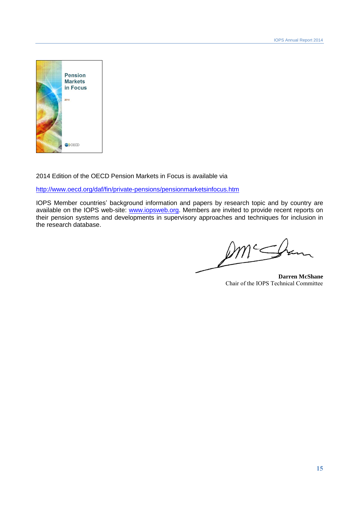

2014 Edition of the OECD Pension Markets in Focus is available via

<http://www.oecd.org/daf/fin/private-pensions/pensionmarketsinfocus.htm>

IOPS Member countries' background information and papers by research topic and by country are available on the IOPS web-site: [www.iopsweb.org.](http://www.iopsweb.org/) Members are invited to provide recent reports on their pension systems and developments in supervisory approaches and techniques for inclusion in the research database.

**Darren McShane** Chair of the IOPS Technical Committee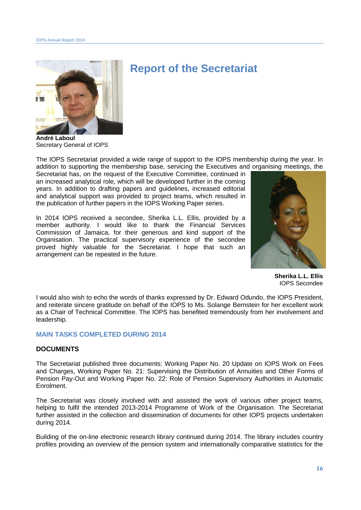

# **Report of the Secretariat**

**André Laboul** Secretary General of IOPS

The IOPS Secretariat provided a wide range of support to the IOPS membership during the year. In addition to supporting the membership base, servicing the Executives and organising meetings, the

Secretariat has, on the request of the Executive Committee, continued in an increased analytical role, which will be developed further in the coming years. In addition to drafting papers and guidelines, increased editorial and analytical support was provided to project teams, which resulted in the publication of further papers in the IOPS Working Paper series.

In 2014 IOPS received a secondee, Sherika L.L. Ellis, provided by a member authority. I would like to thank the Financial Services Commission of Jamaica, for their generous and kind support of the Organisation. The practical supervisory experience of the secondee proved highly valuable for the Secretariat. I hope that such an arrangement can be repeated in the future.



**Sherika L.L. Ellis** IOPS Secondee

I would also wish to echo the words of thanks expressed by Dr. Edward Odundo, the IOPS President, and reiterate sincere gratitude on behalf of the IOPS to Ms. Solange Bernstein for her excellent work as a Chair of Technical Committee. The IOPS has benefited tremendously from her involvement and leadership.

#### **MAIN TASKS COMPLETED DURING 2014**

#### **DOCUMENTS**

The Secretariat published three documents: Working Paper No. 20 Update on IOPS Work on Fees and Charges, Working Paper No. 21: Supervising the Distribution of Annuities and Other Forms of Pension Pay-Out and Working Paper No. 22: Role of Pension Supervisory Authorities in Automatic Enrolment.

The Secretariat was closely involved with and assisted the work of various other project teams, helping to fulfil the intended 2013-2014 Programme of Work of the Organisation. The Secretariat further assisted in the collection and dissemination of documents for other IOPS projects undertaken during 2014.

Building of the on-line electronic research library continued during 2014. The library includes country profiles providing an overview of the pension system and internationally comparative statistics for the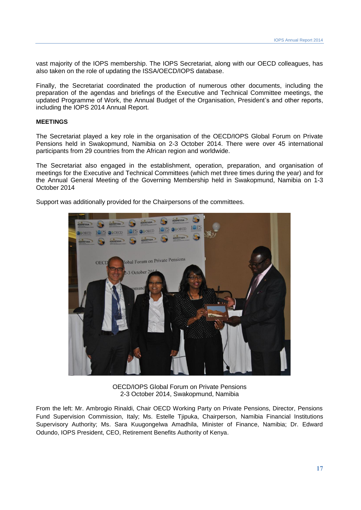vast majority of the IOPS membership. The IOPS Secretariat, along with our OECD colleagues, has also taken on the role of updating the ISSA/OECD/IOPS database.

Finally, the Secretariat coordinated the production of numerous other documents, including the preparation of the agendas and briefings of the Executive and Technical Committee meetings, the updated Programme of Work, the Annual Budget of the Organisation, President's and other reports, including the IOPS 2014 Annual Report.

#### **MEETINGS**

The Secretariat played a key role in the organisation of the OECD/IOPS Global Forum on Private Pensions held in Swakopmund, Namibia on 2-3 October 2014. There were over 45 international participants from 29 countries from the African region and worldwide.

The Secretariat also engaged in the establishment, operation, preparation, and organisation of meetings for the Executive and Technical Committees (which met three times during the year) and for the Annual General Meeting of the Governing Membership held in Swakopmund, Namibia on 1-3 October 2014

Support was additionally provided for the Chairpersons of the committees.



OECD/IOPS Global Forum on Private Pensions 2-3 October 2014, Swakopmund, Namibia

From the left: Mr. Ambrogio Rinaldi, Chair OECD Working Party on Private Pensions, Director, Pensions Fund Supervision Commission, Italy; Ms. Estelle Tjipuka, Chairperson, [Namibia Financial Institutions](http://www.namfisa.com.na/)  [Supervisory Authority;](http://www.namfisa.com.na/) Ms. Sara Kuugongelwa Amadhila, Minister of Finance, Namibia; Dr. Edward Odundo, IOPS President, CEO, Retirement Benefits Authority of Kenya.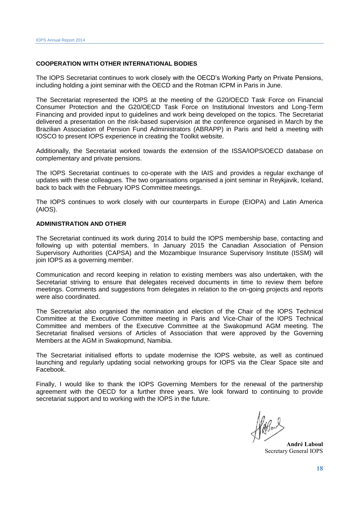#### **COOPERATION WITH OTHER INTERNATIONAL BODIES**

The IOPS Secretariat continues to work closely with the OECD's Working Party on Private Pensions, including holding a joint seminar with the OECD and the Rotman ICPM in Paris in June.

The Secretariat represented the IOPS at the meeting of the G20/OECD Task Force on Financial Consumer Protection and the G20/OECD Task Force on Institutional Investors and Long-Term Financing and provided input to guidelines and work being developed on the topics. The Secretariat delivered a presentation on the risk-based supervision at the conference organised in March by the Brazilian Association of Pension Fund Administrators (ABRAPP) in Paris and held a meeting with IOSCO to present IOPS experience in creating the Toolkit website.

Additionally, the Secretariat worked towards the extension of the ISSA/IOPS/OECD database on complementary and private pensions.

The IOPS Secretariat continues to co-operate with the IAIS and provides a regular exchange of updates with these colleagues. The two organisations organised a joint seminar in Reykjavik, Iceland, back to back with the February IOPS Committee meetings.

The IOPS continues to work closely with our counterparts in Europe (EIOPA) and Latin America (AIOS).

#### **ADMINISTRATION AND OTHER**

The Secretariat continued its work during 2014 to build the IOPS membership base, contacting and following up with potential members. In January 2015 the Canadian Association of Pension Supervisory Authorities (CAPSA) and the Mozambique Insurance Supervisory Institute (ISSM) will join IOPS as a governing member.

Communication and record keeping in relation to existing members was also undertaken, with the Secretariat striving to ensure that delegates received documents in time to review them before meetings. Comments and suggestions from delegates in relation to the on-going projects and reports were also coordinated.

The Secretariat also organised the nomination and election of the Chair of the IOPS Technical Committee at the Executive Committee meeting in Paris and Vice-Chair of the IOPS Technical Committee and members of the Executive Committee at the Swakopmund AGM meeting. The Secretariat finalised versions of Articles of Association that were approved by the Governing Members at the AGM in Swakopmund, Namibia.

The Secretariat initialised efforts to update modernise the IOPS website, as well as continued launching and regularly updating social networking groups for IOPS via the Clear Space site and Facebook.

Finally, I would like to thank the IOPS Governing Members for the renewal of the partnership agreement with the OECD for a further three years. We look forward to continuing to provide secretariat support and to working with the IOPS in the future.

**André Laboul** Secretary General IOPS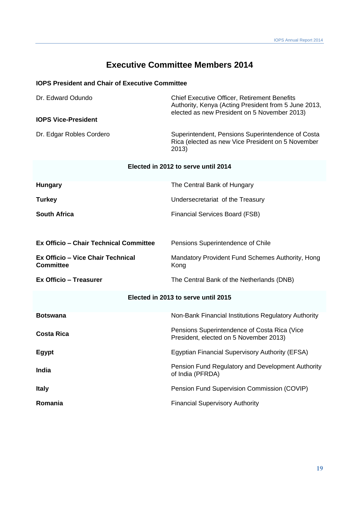### **Executive Committee Members 2014**

#### **IOPS President and Chair of Executive Committee**

| Dr. Edward Odundo                                            | <b>Chief Executive Officer, Retirement Benefits</b><br>Authority, Kenya (Acting President from 5 June 2013,<br>elected as new President on 5 November 2013) |
|--------------------------------------------------------------|-------------------------------------------------------------------------------------------------------------------------------------------------------------|
| <b>IOPS Vice-President</b>                                   |                                                                                                                                                             |
| Dr. Edgar Robles Cordero                                     | Superintendent, Pensions Superintendence of Costa<br>Rica (elected as new Vice President on 5 November<br>2013)                                             |
|                                                              | Elected in 2012 to serve until 2014                                                                                                                         |
| <b>Hungary</b>                                               | The Central Bank of Hungary                                                                                                                                 |
| <b>Turkey</b>                                                | Undersecretariat of the Treasury                                                                                                                            |
| <b>South Africa</b>                                          | Financial Services Board (FSB)                                                                                                                              |
|                                                              |                                                                                                                                                             |
| <b>Ex Officio - Chair Technical Committee</b>                | Pensions Superintendence of Chile                                                                                                                           |
| <b>Ex Officio - Vice Chair Technical</b><br><b>Committee</b> | Mandatory Provident Fund Schemes Authority, Hong<br>Kong                                                                                                    |
| <b>Ex Officio - Treasurer</b>                                | The Central Bank of the Netherlands (DNB)                                                                                                                   |
|                                                              | Elected in 2013 to serve until 2015                                                                                                                         |
| <b>Botswana</b>                                              | Non-Bank Financial Institutions Regulatory Authority                                                                                                        |
| <b>Costa Rica</b>                                            | Pensions Superintendence of Costa Rica (Vice<br>President, elected on 5 November 2013)                                                                      |
| <b>Egypt</b>                                                 | Egyptian Financial Supervisory Authority (EFSA)                                                                                                             |
| India                                                        | Pension Fund Regulatory and Development Authority<br>of India (PFRDA)                                                                                       |
| <b>Italy</b>                                                 | Pension Fund Supervision Commission (COVIP)                                                                                                                 |
| Romania                                                      | <b>Financial Supervisory Authority</b>                                                                                                                      |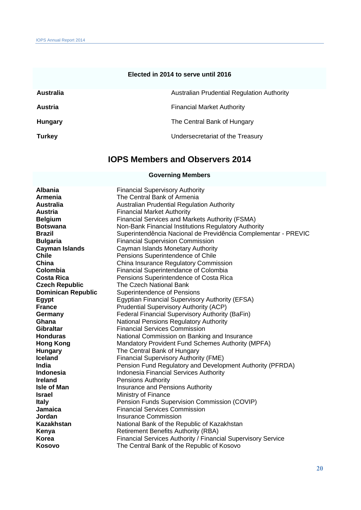#### **Elected in 2014 to serve until 2016**

| Australia      | Australian Prudential Regulation Authority |
|----------------|--------------------------------------------|
| <b>Austria</b> | <b>Financial Market Authority</b>          |
| Hungary        | The Central Bank of Hungary                |
| <b>Turkey</b>  | Undersecretariat of the Treasury           |

## **IOPS Members and Observers 2014**

#### **Governing Members**

| <b>Albania</b>            | <b>Financial Supervisory Authority</b>                         |
|---------------------------|----------------------------------------------------------------|
| Armenia                   | The Central Bank of Armenia                                    |
| <b>Australia</b>          | <b>Australian Prudential Regulation Authority</b>              |
| <b>Austria</b>            | <b>Financial Market Authority</b>                              |
| <b>Belgium</b>            | <b>Financial Services and Markets Authority (FSMA)</b>         |
| <b>Botswana</b>           | Non-Bank Financial Institutions Regulatory Authority           |
| <b>Brazil</b>             | Superintendência Nacional de Previdência Complementar - PREVIC |
| <b>Bulgaria</b>           | <b>Financial Supervision Commission</b>                        |
| <b>Cayman Islands</b>     | Cayman Islands Monetary Authority                              |
| <b>Chile</b>              | Pensions Superintendence of Chile                              |
| China                     | China Insurance Regulatory Commission                          |
| Colombia                  | Financial Superintendance of Colombia                          |
| <b>Costa Rica</b>         | Pensions Superintendence of Costa Rica                         |
| <b>Czech Republic</b>     | The Czech National Bank                                        |
| <b>Dominican Republic</b> | Superintendence of Pensions                                    |
| Egypt                     | <b>Egyptian Financial Supervisory Authority (EFSA)</b>         |
| <b>France</b>             | <b>Prudential Supervisory Authority (ACP)</b>                  |
| Germany                   | Federal Financial Supervisory Authority (BaFin)                |
| Ghana                     | National Pensions Regulatory Authority                         |
| <b>Gibraltar</b>          | <b>Financial Services Commission</b>                           |
| <b>Honduras</b>           | National Commission on Banking and Insurance                   |
| <b>Hong Kong</b>          | Mandatory Provident Fund Schemes Authority (MPFA)              |
| <b>Hungary</b>            | The Central Bank of Hungary                                    |
| Iceland                   | <b>Financial Supervisory Authority (FME)</b>                   |
| India                     | Pension Fund Regulatory and Development Authority (PFRDA)      |
| Indonesia                 | <b>Indonesia Financial Services Authority</b>                  |
| <b>Ireland</b>            | <b>Pensions Authority</b>                                      |
| <b>Isle of Man</b>        | Insurance and Pensions Authority                               |
| <b>Israel</b>             | Ministry of Finance                                            |
| <b>Italy</b>              | Pension Funds Supervision Commission (COVIP)                   |
| Jamaica                   | <b>Financial Services Commission</b>                           |
| Jordan                    | Insurance Commission                                           |
| <b>Kazakhstan</b>         | National Bank of the Republic of Kazakhstan                    |
| Kenya                     | <b>Retirement Benefits Authority (RBA)</b>                     |
| <b>Korea</b>              | Financial Services Authority / Financial Supervisory Service   |
| Kosovo                    | The Central Bank of the Republic of Kosovo                     |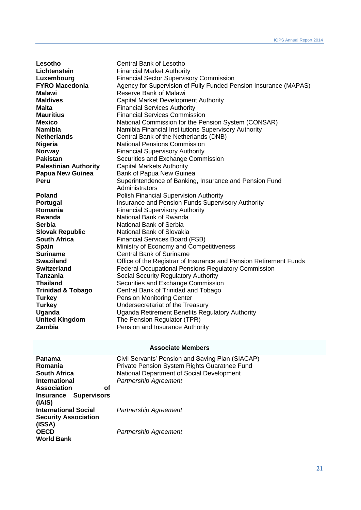**Lesotho** Central Bank of Lesotho<br>
Lichtenstein<br>
Financial Market Authori **Lichtenstein**<br> **Lichtenstein**<br> **Lichtenstein Einancial Sector Supervisch**<br>
Financial Sector Supervisch **Luxembourg** Financial Sector Supervisory Commission<br> **FYRO Macedonia** Agency for Supervision of Fully Funded Pe Agency for Supervision of Fully Funded Pension Insurance (MAPAS) **Malawi** Reserve Bank of Malawi **Maldives** Capital Market Development Authority **Malta [Financial Services Authority](http://mfsa.com.mt/) Mauritius Einancial Services Commission Mexico** National Commission for the Pension System (CONSAR)<br>
National Financial Institutions Supervisory Authority **Namibia**<br> **Namibia** Financial Institutions Supervisory Authority<br> **Netherlands**<br>
Central Bank of the Netherlands (DNB) **Netherlands** Central Bank of the Netherlands (DNB) **Nigeria** National Pensions Commission **Norway Financial Supervisory Authority Pakistan** Securities and Exchange Commission **Palestinian Authority** Capital Markets Authority **Papua New Guinea** Bank of Papua New Guinea<br>**Peru** Superintendence of Banking Superintendence of Banking, Insurance and Pension Fund Administrators **Poland** Polish Financial Supervision Authority **Portugal Insurance and Pension Funds Supervisory Authority<br>
<b>Romania** Financial Supervisory Authority **Financial Supervisory Authority Rwanda National Bank of Rwanda Serbia** National Bank of Serbia **Slovak Republic** National Bank of Slovakia **South Africa** Financial Services Board (FSB) **Spain** Ministry of Economy and Competitiveness **Suriname** Central Bank of Suriname<br>
Swaziland Cffice of the Registrar of li **Swaziland Swaziland** Office of the Registrar of Insurance and Pension Retirement Funds<br>
Switzerland **Switzerland** Federal Occupational Pensions Regulatory Commission **Switzerland Federal Occupational Pensions Regulatory Commission**<br> **Tanzania** Social Security Regulatory Authority **Tanzania Social Security Regulatory Authority**<br> **Thailand Securities and Exchange Commissic Thailand** Securities and Exchange Commission<br> **Trinidad & Tobago** Central Bank of Trinidad and Tobago **Trinidad & Tobago** Central Bank of Trinidad and Tobago **Turkey Constructs** Pension Monitoring Center **Turkey** Undersecretariat of the Treasury **Uganda** Uganda Retirement Benefits Regulatory Authority **United Kingdom** The Pension Regulator (TPR) **Zambia** Pension and Insurance Authority

#### **Associate Members**

| Civil Servants' Pension and Saving Plan (SIACAP)<br>Private Pension System Rights Guaratnee Fund |
|--------------------------------------------------------------------------------------------------|
| National Department of Social Development                                                        |
| <b>Partnership Agreement</b>                                                                     |
|                                                                                                  |
|                                                                                                  |
|                                                                                                  |
| <b>Partnership Agreement</b>                                                                     |
|                                                                                                  |
|                                                                                                  |
| Partnership Agreement                                                                            |
|                                                                                                  |
|                                                                                                  |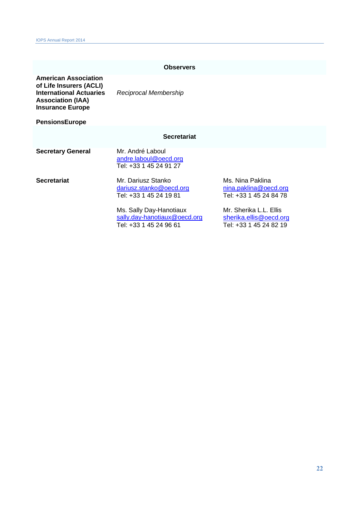#### **Observers**

**American Association of Life Insurers (ACLI) International Actuaries Association (IAA)** *Reciprocal Membership* **Insurance Europe**

**PensionsEurope**

#### **Secretariat**

**Secretary General** Mr. André Laboul [andre.laboul@oecd.org](mailto:andre.laboul@oecd.org) Tel: +33 1 45 24 91 27

**Secretariat** Mr. Dariusz Stanko Ms. Nina Paklina<br>
<u>dariusz.stanko@oecd.org</u> mina.paklina@oecd.org [dariusz.stanko@oecd.org](mailto:dariusz.stanko@oecd.org)<br>Tel: +33 1 45 24 19 81 Tel: +33 1 45 24 84 78 Tel: +33 1 45 24 19 81

> Ms. Sally Day-Hanotiaux Mr. Sherika L.L. Ellis<br>
> sally.day-hanotiaux@oecd.org sherika.ellis@oecd.org [sally.day-hanotiaux@oecd.org](mailto:sally.day-hanotiaux@oecd.org)<br>Tel: +33 1 45 24 96 61 Tel: +33 1 45 24 82 19 Tel: +33 1 45 24 96 61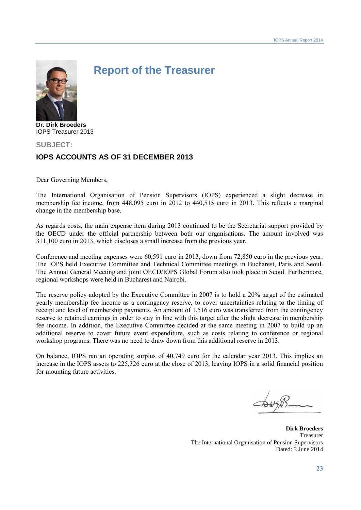

# **Report of the Treasurer**

**Dr. Dirk Broeders** IOPS Treasurer 2013

### **SUBJECT: IOPS ACCOUNTS AS OF 31 DECEMBER 2013**

Dear Governing Members,

The International Organisation of Pension Supervisors (IOPS) experienced a slight decrease in membership fee income, from 448,095 euro in 2012 to 440,515 euro in 2013. This reflects a marginal change in the membership base.

As regards costs, the main expense item during 2013 continued to be the Secretariat support provided by the OECD under the official partnership between both our organisations. The amount involved was 311,100 euro in 2013, which discloses a small increase from the previous year.

Conference and meeting expenses were 60,591 euro in 2013, down from 72,850 euro in the previous year. The IOPS held Executive Committee and Technical Committee meetings in Bucharest, Paris and Seoul. The Annual General Meeting and joint OECD/IOPS Global Forum also took place in Seoul. Furthermore, regional workshops were held in Bucharest and Nairobi.

The reserve policy adopted by the Executive Committee in 2007 is to hold a 20% target of the estimated yearly membership fee income as a contingency reserve, to cover uncertainties relating to the timing of receipt and level of membership payments. An amount of 1,516 euro was transferred from the contingency reserve to retained earnings in order to stay in line with this target after the slight decrease in membership fee income. In addition, the Executive Committee decided at the same meeting in 2007 to build up an additional reserve to cover future event expenditure, such as costs relating to conference or regional workshop programs. There was no need to draw down from this additional reserve in 2013.

On balance, IOPS ran an operating surplus of 40,749 euro for the calendar year 2013. This implies an increase in the IOPS assets to 225,326 euro at the close of 2013, leaving IOPS in a solid financial position for mounting future activities.

**Dirk Broeders** Treasurer The International Organisation of Pension Supervisors Dated: 3 June 2014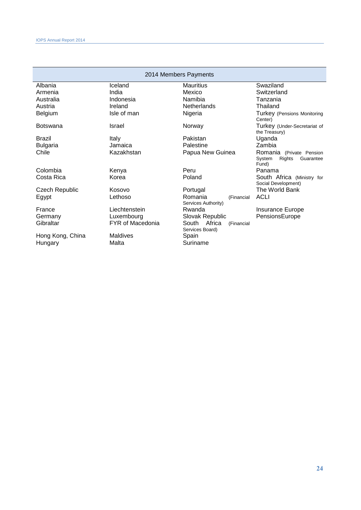| 2014 Members Payments |                         |                                               |                                                                    |  |
|-----------------------|-------------------------|-----------------------------------------------|--------------------------------------------------------------------|--|
| Albania               | Iceland                 | <b>Mauritius</b>                              | Swaziland                                                          |  |
| Armenia               | India                   | Mexico                                        | Switzerland                                                        |  |
| Australia             | Indonesia               | Namibia                                       | Tanzania                                                           |  |
| Austria               | Ireland                 | <b>Netherlands</b>                            | Thailand                                                           |  |
| Belgium               | Isle of man             | Nigeria                                       | Turkey (Pensions Monitoring<br>Center)                             |  |
| Botswana              | Israel                  | Norway                                        | Turkey (Under-Secretariat of<br>the Treasury)                      |  |
| Brazil                | Italy                   | Pakistan                                      | Uganda                                                             |  |
| <b>Bulgaria</b>       | Jamaica                 | Palestine                                     | Zambia                                                             |  |
| Chile                 | Kazakhstan              | Papua New Guinea                              | Romania (Private Pension<br>Rights<br>System<br>Guarantee<br>Fund) |  |
| Colombia              | Kenya                   | Peru                                          | Panama                                                             |  |
| Costa Rica            | Korea                   | Poland                                        | South Africa (Ministry for<br>Social Development)                  |  |
| <b>Czech Republic</b> | Kosovo                  | Portugal                                      | The World Bank                                                     |  |
| Egypt                 | Lethoso                 | Romania<br>(Financial<br>Services Authority)  | <b>ACLI</b>                                                        |  |
| France                | Liechtenstein           | Rwanda                                        | <b>Insurance Europe</b>                                            |  |
| Germany               | Luxembourg              | Slovak Republic                               | PensionsEurope                                                     |  |
| Gibraltar             | <b>FYR of Macedonia</b> | South Africa<br>(Financial<br>Services Board) |                                                                    |  |
| Hong Kong, China      | Maldives                | Spain                                         |                                                                    |  |
| Hungary               | Malta                   | Suriname                                      |                                                                    |  |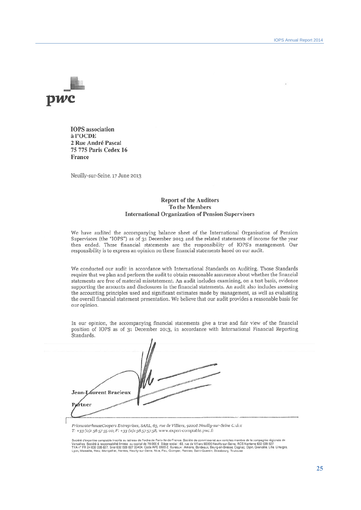

**IOPS** association à l'OCDE 2 Rue André Pascal 75 775 Paris Cedex 16 France

Neuilly-sur-Seine, 17 June 2013

#### **Report of the Auditors** To the Members **International Organization of Pension Supervisors**

We have audited the accompanying balance sheet of the International Organisation of Pension Supervisors (the "IOPS") as of 31 December 2013 and the related statements of income for the year then ended. These financial statements are the responsibility of IOPS's management. Our responsibility is to express an opinion on these financial statements based on our audit.

We conducted our audit in accordance with International Standards on Auditing. Those Standards require that we plan and perform the audit to obtain reasonable assurance about whether the financial statements are free of material misstatement. An audit includes examining, on a test basis, evidence supporting the amounts and disclosures in the financial statements. An audit also includes assessing the accounting principles used and significant estimates made by management, as well as evaluating the overall financial statement presentation. We believe that our audit provides a reasonable basis for our opinion.

In our opinion, the accompanying financial statements give a true and fair view of the financial position of IOPS as of 31 December 2013, in accordance with International Financial Reporting Standards.

|        | Jean-Laurent Bracieux<br>Partner |  |
|--------|----------------------------------|--|
| 111111 |                                  |  |

PricewaterhouseCoopers Entreprises, SARL, 63, rue de Villiers, 92208 Neuilly-sur-Seine Cadex T: +33 (0)1 56 57 55 00, F: +33 (0)1 56 57 57 58, www.expert-comptable.pwc.fr

Société d'expertise comptable inscrite au tableau de l'ordre de Paris-Ile-de-France. Société de commissariat aux comples membre de la compagnie régionale de<br>TVA n° FR 24 632 028 627, Siret 632 028 627 00404, Code APE 6920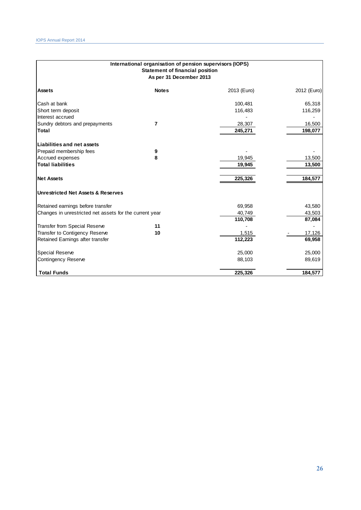| International organisation of pension supervisors (IOPS)<br><b>Statement of financial position</b><br>As per 31 December 2013 |              |             |             |
|-------------------------------------------------------------------------------------------------------------------------------|--------------|-------------|-------------|
| <b>Assets</b>                                                                                                                 | <b>Notes</b> | 2013 (Euro) | 2012 (Euro) |
| Cash at bank                                                                                                                  |              | 100,481     | 65,318      |
| Short term deposit                                                                                                            |              | 116,483     | 116,259     |
| Interest accrued                                                                                                              |              |             |             |
| Sundry debtors and prepayments                                                                                                | 7            | 28,307      | 16,500      |
| <b>Total</b>                                                                                                                  |              | 245,271     | 198,077     |
| <b>Liabilities and net assets</b>                                                                                             |              |             |             |
| Prepaid membership fees                                                                                                       | 9            |             |             |
| Accrued expenses                                                                                                              | 8            | 19,945      | 13,500      |
| <b>Total liabilities</b>                                                                                                      |              | 19,945      | 13,500      |
|                                                                                                                               |              |             |             |
| <b>Net Assets</b>                                                                                                             |              | 225,326     | 184,577     |
| <b>Unrestricted Net Assets &amp; Reserves</b>                                                                                 |              |             |             |
| Retained earnings before transfer                                                                                             |              | 69,958      | 43,580      |
| Changes in unrestricted net assets for the current year                                                                       |              | 40,749      | 43,503      |
|                                                                                                                               |              | 110,708     | 87,084      |
| Transfer from Special Reserve                                                                                                 | 11           |             |             |
| Transfer to Contigency Reserve                                                                                                | 10           | 1,515       | 17,126      |
| Retained Earnings after transfer                                                                                              |              | 112,223     | 69,958      |
| Special Reserve                                                                                                               |              | 25,000      | 25,000      |
| Contingency Reserve                                                                                                           |              | 88,103      | 89,619      |
| <b>Total Funds</b>                                                                                                            |              | 225,326     | 184,577     |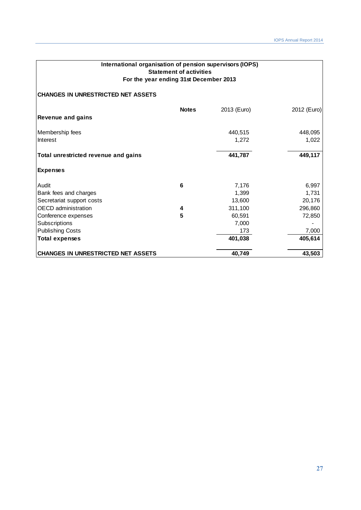| International organisation of pension supervisors (IOPS)<br><b>Statement of activities</b><br>For the year ending 31st December 2013 |                  |             |             |  |
|--------------------------------------------------------------------------------------------------------------------------------------|------------------|-------------|-------------|--|
| <b>CHANGES IN UNRESTRICTED NET ASSETS</b>                                                                                            |                  |             |             |  |
| <b>Revenue and gains</b>                                                                                                             | <b>Notes</b>     | 2013 (Euro) | 2012 (Euro) |  |
| Membership fees                                                                                                                      |                  | 440,515     | 448,095     |  |
| Interest                                                                                                                             |                  | 1,272       | 1,022       |  |
| Total unrestricted revenue and gains                                                                                                 |                  | 441,787     | 449,117     |  |
| <b>Expenses</b>                                                                                                                      |                  |             |             |  |
| Audit                                                                                                                                | 6                | 7,176       | 6,997       |  |
| Bank fees and charges                                                                                                                |                  | 1,399       | 1,731       |  |
| Secretariat support costs                                                                                                            |                  | 13,600      | 20,176      |  |
| <b>OECD</b> administration                                                                                                           | 4                | 311,100     | 296,860     |  |
| Conference expenses                                                                                                                  | 5                | 60,591      | 72,850      |  |
| Subscriptions                                                                                                                        |                  | 7,000       |             |  |
| <b>Publishing Costs</b>                                                                                                              |                  | 173         | 7,000       |  |
| <b>Total expenses</b>                                                                                                                |                  | 401,038     | 405,614     |  |
| <b>CHANGES IN UNRESTRICTED NET ASSETS</b>                                                                                            | 43,503<br>40,749 |             |             |  |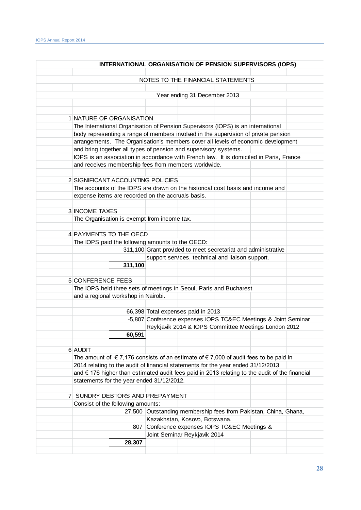|                                                                                                |         | INTERNATIONAL ORGANISATION OF PENSION SUPERVISORS (IOPS)        |  |  |
|------------------------------------------------------------------------------------------------|---------|-----------------------------------------------------------------|--|--|
|                                                                                                |         | NOTES TO THE FINANCIAL STATEMENTS                               |  |  |
|                                                                                                |         |                                                                 |  |  |
|                                                                                                |         | Year ending 31 December 2013                                    |  |  |
|                                                                                                |         |                                                                 |  |  |
| 1 NATURE OF ORGANISATION                                                                       |         |                                                                 |  |  |
| The International Organisation of Pension Supervisors (IOPS) is an international               |         |                                                                 |  |  |
| body representing a range of members involved in the supervision of private pension            |         |                                                                 |  |  |
| arrangements. The Organisation's members cover all levels of economic development              |         |                                                                 |  |  |
| and bring together all types of pension and supervisory systems.                               |         |                                                                 |  |  |
| IOPS is an association in accordance with French law. It is domiciled in Paris, France         |         |                                                                 |  |  |
| and receives membership fees from members worldwide.                                           |         |                                                                 |  |  |
|                                                                                                |         |                                                                 |  |  |
| 2 SIGNIFICANT ACCOUNTING POLICIES                                                              |         |                                                                 |  |  |
| The accounts of the IOPS are drawn on the historical cost basis and income and                 |         |                                                                 |  |  |
| expense items are recorded on the accruals basis.                                              |         |                                                                 |  |  |
|                                                                                                |         |                                                                 |  |  |
| 3 INCOME TAXES                                                                                 |         |                                                                 |  |  |
| The Organisation is exempt from income tax.                                                    |         |                                                                 |  |  |
|                                                                                                |         |                                                                 |  |  |
| 4 PAYMENTS TO THE OECD                                                                         |         |                                                                 |  |  |
| The IOPS paid the following amounts to the OECD:                                               |         | 311,100 Grant provided to meet secretariat and administrative   |  |  |
|                                                                                                |         |                                                                 |  |  |
|                                                                                                | 311,100 | support services, technical and liaison support.                |  |  |
|                                                                                                |         |                                                                 |  |  |
| 5 CONFERENCE FEES                                                                              |         |                                                                 |  |  |
| The IOPS held three sets of meetings in Seoul, Paris and Bucharest                             |         |                                                                 |  |  |
| and a regional workshop in Nairobi.                                                            |         |                                                                 |  |  |
|                                                                                                |         |                                                                 |  |  |
|                                                                                                |         | 66,398 Total expenses paid in 2013                              |  |  |
|                                                                                                |         | -5,807 Conference expenses IOPS TC&EC Meetings & Joint Seminar  |  |  |
|                                                                                                |         | Reykjavik 2014 & IOPS Committee Meetings London 2012            |  |  |
|                                                                                                | 60,591  |                                                                 |  |  |
|                                                                                                |         |                                                                 |  |  |
| 6 AUDIT                                                                                        |         |                                                                 |  |  |
| The amount of $\in$ 7,176 consists of an estimate of $\in$ 7,000 of audit fees to be paid in   |         |                                                                 |  |  |
| 2014 relating to the audit of financial statements for the year ended 31/12/2013               |         |                                                                 |  |  |
| and € 176 higher than estimated audit fees paid in 2013 relating to the audit of the financial |         |                                                                 |  |  |
| statements for the year ended 31/12/2012.                                                      |         |                                                                 |  |  |
|                                                                                                |         |                                                                 |  |  |
| 7 SUNDRY DEBTORS AND PREPAYMENT                                                                |         |                                                                 |  |  |
| Consist of the following amounts:                                                              |         |                                                                 |  |  |
|                                                                                                |         | 27,500 Outstanding membership fees from Pakistan, China, Ghana, |  |  |
|                                                                                                |         | Kazakhstan, Kosovo, Botswana.                                   |  |  |
|                                                                                                |         | 807 Conference expenses IOPS TC&EC Meetings &                   |  |  |
|                                                                                                |         | Joint Seminar Reykjavik 2014                                    |  |  |
|                                                                                                |         |                                                                 |  |  |
|                                                                                                | 28,307  |                                                                 |  |  |